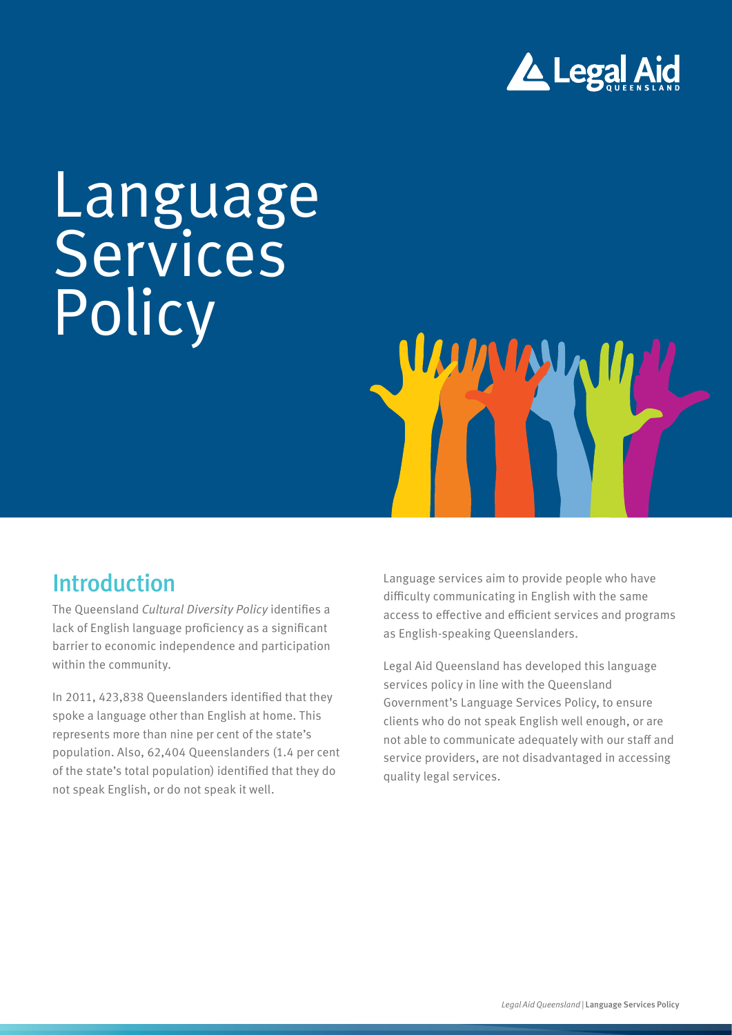

# Language Services Policy



The Queensland *Cultural Diversity Policy* identifies a lack of English language proficiency as a significant barrier to economic independence and participation within the community.

In 2011, 423,838 Queenslanders identified that they spoke a language other than English at home. This represents more than nine per cent of the state's population. Also, 62,404 Queenslanders (1.4 per cent of the state's total population) identified that they do not speak English, or do not speak it well.

Language services aim to provide people who have difficulty communicating in English with the same access to effective and efficient services and programs as English-speaking Queenslanders.

Legal Aid Queensland has developed this language services policy in line with the Queensland Government's Language Services Policy, to ensure clients who do not speak English well enough, or are not able to communicate adequately with our staff and service providers, are not disadvantaged in accessing quality legal services.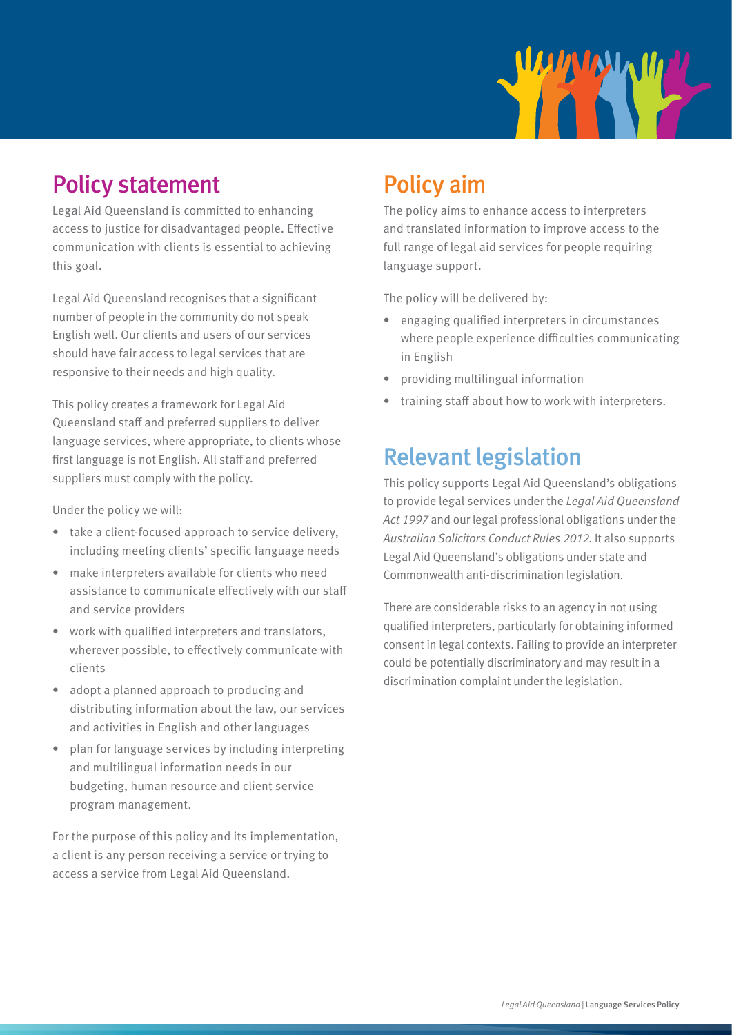

# Policy statement

Legal Aid Queensland is committed to enhancing access to justice for disadvantaged people. Effective communication with clients is essential to achieving this goal.

Legal Aid Queensland recognises that a significant number of people in the community do not speak English well. Our clients and users of our services should have fair access to legal services that are responsive to their needs and high quality.

This policy creates a framework for Legal Aid Queensland staff and preferred suppliers to deliver language services, where appropriate, to clients whose first language is not English. All staff and preferred suppliers must comply with the policy.

Under the policy we will:

- take a client-focused approach to service delivery, including meeting clients' specific language needs
- make interpreters available for clients who need assistance to communicate effectively with our staff and service providers
- work with qualified interpreters and translators, wherever possible, to effectively communicate with clients
- adopt a planned approach to producing and distributing information about the law, our services and activities in English and other languages
- plan for language services by including interpreting and multilingual information needs in our budgeting, human resource and client service program management.

For the purpose of this policy and its implementation, a client is any person receiving a service or trying to access a service from Legal Aid Queensland.

# Policy aim

The policy aims to enhance access to interpreters and translated information to improve access to the full range of legal aid services for people requiring language support.

The policy will be delivered by:

- engaging qualified interpreters in circumstances where people experience difficulties communicating in English
- providing multilingual information
- training staff about how to work with interpreters.

### Relevant legislation

This policy supports Legal Aid Queensland's obligations to provide legal services under the *Legal Aid Queensland Act 1997* and our legal professional obligations under the *Australian Solicitors Conduct Rules 2012*. It also supports Legal Aid Queensland's obligations under state and Commonwealth anti-discrimination legislation.

There are considerable risks to an agency in not using qualified interpreters, particularly for obtaining informed consent in legal contexts. Failing to provide an interpreter could be potentially discriminatory and may result in a discrimination complaint under the legislation.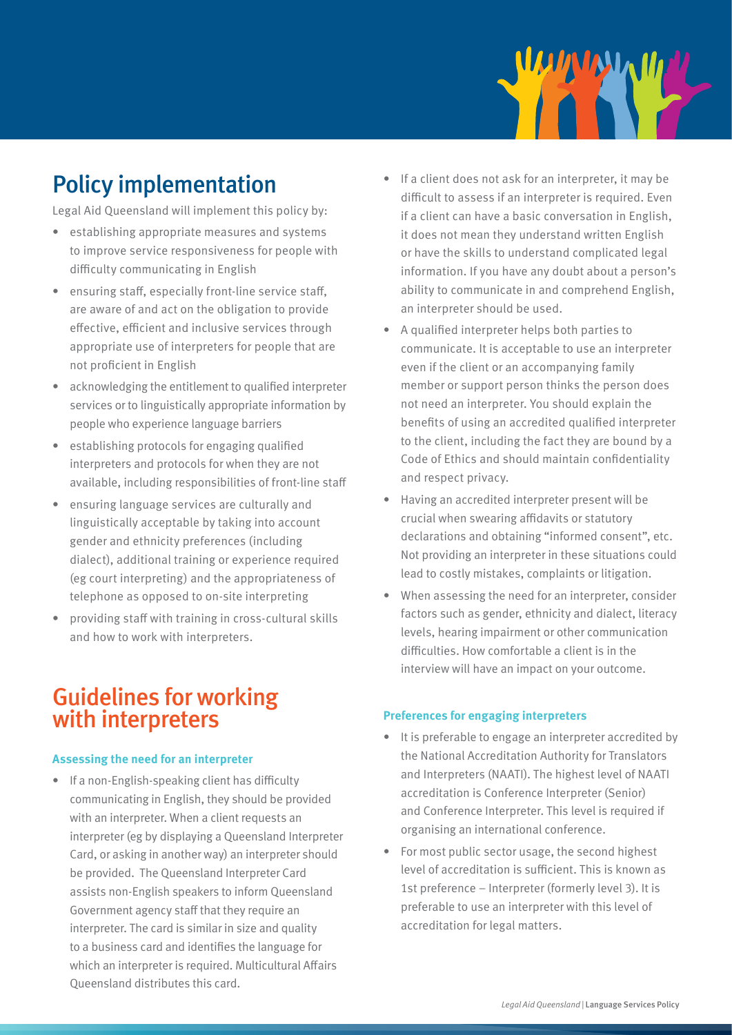

# Policy implementation

Legal Aid Queensland will implement this policy by:

- establishing appropriate measures and systems to improve service responsiveness for people with difficulty communicating in English
- ensuring staff, especially front-line service staff, are aware of and act on the obligation to provide effective, efficient and inclusive services through appropriate use of interpreters for people that are not proficient in English
- acknowledging the entitlement to qualified interpreter services or to linguistically appropriate information by people who experience language barriers
- establishing protocols for engaging qualified interpreters and protocols for when they are not available, including responsibilities of front-line staff
- ensuring language services are culturally and linguistically acceptable by taking into account gender and ethnicity preferences (including dialect), additional training or experience required (eg court interpreting) and the appropriateness of telephone as opposed to on-site interpreting
- providing staff with training in cross-cultural skills and how to work with interpreters.

### Guidelines for working with interpreters

#### **Assessing the need for an interpreter**

• If a non-English-speaking client has difficulty communicating in English, they should be provided with an interpreter. When a client requests an interpreter (eg by displaying a Queensland Interpreter Card, or asking in another way) an interpreter should be provided. The Queensland Interpreter Card assists non-English speakers to inform Queensland Government agency staff that they require an interpreter. The card is similar in size and quality to a business card and identifies the language for which an interpreter is required. Multicultural Affairs Queensland distributes this card.

- If a client does not ask for an interpreter, it may be difficult to assess if an interpreter is required. Even if a client can have a basic conversation in English, it does not mean they understand written English or have the skills to understand complicated legal information. If you have any doubt about a person's ability to communicate in and comprehend English, an interpreter should be used.
- A qualified interpreter helps both parties to communicate. It is acceptable to use an interpreter even if the client or an accompanying family member or support person thinks the person does not need an interpreter. You should explain the benefits of using an accredited qualified interpreter to the client, including the fact they are bound by a Code of Ethics and should maintain confidentiality and respect privacy.
- Having an accredited interpreter present will be crucial when swearing affidavits or statutory declarations and obtaining "informed consent", etc. Not providing an interpreter in these situations could lead to costly mistakes, complaints or litigation.
- When assessing the need for an interpreter, consider factors such as gender, ethnicity and dialect, literacy levels, hearing impairment or other communication difficulties. How comfortable a client is in the interview will have an impact on your outcome.

#### **Preferences for engaging interpreters**

- It is preferable to engage an interpreter accredited by the National Accreditation Authority for Translators and Interpreters (NAATI). The highest level of NAATI accreditation is Conference Interpreter (Senior) and Conference Interpreter. This level is required if organising an international conference.
- For most public sector usage, the second highest level of accreditation is sufficient. This is known as 1st preference – Interpreter (formerly level 3). It is preferable to use an interpreter with this level of accreditation for legal matters.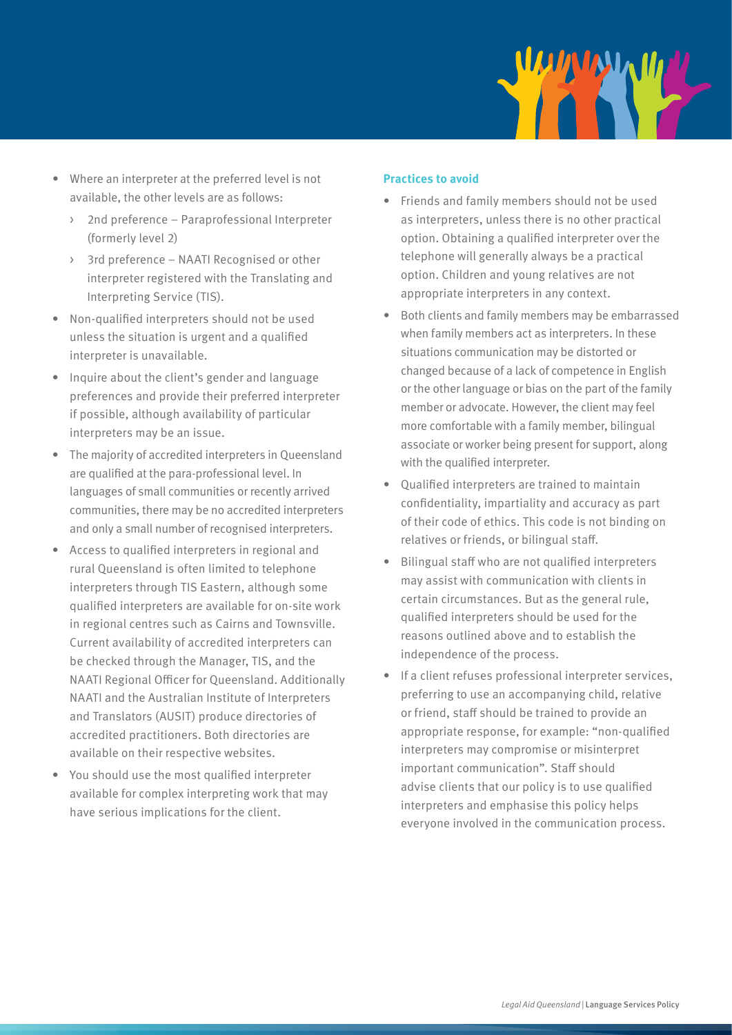

- Where an interpreter at the preferred level is not available, the other levels are as follows:
	- > 2nd preference Paraprofessional Interpreter (formerly level 2)
	- > 3rd preference NAATI Recognised or other interpreter registered with the Translating and Interpreting Service (TIS).
- Non-qualified interpreters should not be used unless the situation is urgent and a qualified interpreter is unavailable.
- Inquire about the client's gender and language preferences and provide their preferred interpreter if possible, although availability of particular interpreters may be an issue.
- The majority of accredited interpreters in Queensland are qualified at the para-professional level. In languages of small communities or recently arrived communities, there may be no accredited interpreters and only a small number of recognised interpreters.
- Access to qualified interpreters in regional and rural Queensland is often limited to telephone interpreters through TIS Eastern, although some qualified interpreters are available for on-site work in regional centres such as Cairns and Townsville. Current availability of accredited interpreters can be checked through the Manager, TIS, and the NAATI Regional Officer for Queensland. Additionally NAATI and the Australian Institute of Interpreters and Translators (AUSIT) produce directories of accredited practitioners. Both directories are available on their respective websites.
- You should use the most qualified interpreter available for complex interpreting work that may have serious implications for the client.

#### **Practices to avoid**

- Friends and family members should not be used as interpreters, unless there is no other practical option. Obtaining a qualified interpreter over the telephone will generally always be a practical option. Children and young relatives are not appropriate interpreters in any context.
- Both clients and family members may be embarrassed when family members act as interpreters. In these situations communication may be distorted or changed because of a lack of competence in English or the other language or bias on the part of the family member or advocate. However, the client may feel more comfortable with a family member, bilingual associate or worker being present for support, along with the qualified interpreter.
- Qualified interpreters are trained to maintain confidentiality, impartiality and accuracy as part of their code of ethics. This code is not binding on relatives or friends, or bilingual staff.
- Bilingual staff who are not qualified interpreters may assist with communication with clients in certain circumstances. But as the general rule, qualified interpreters should be used for the reasons outlined above and to establish the independence of the process.
- If a client refuses professional interpreter services, preferring to use an accompanying child, relative or friend, staff should be trained to provide an appropriate response, for example: "non-qualified interpreters may compromise or misinterpret important communication". Staff should advise clients that our policy is to use qualified interpreters and emphasise this policy helps everyone involved in the communication process.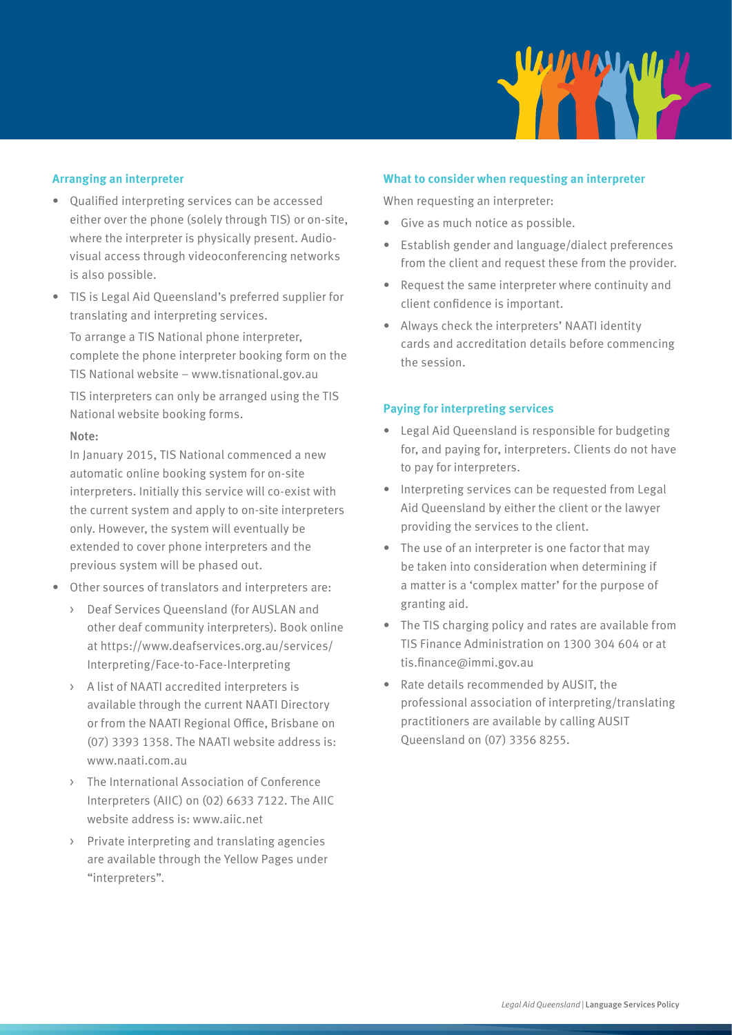

#### **Arranging an interpreter**

- Qualified interpreting services can be accessed either over the phone (solely through TIS) or on-site, where the interpreter is physically present. Audiovisual access through videoconferencing networks is also possible.
- TIS is Legal Aid Queensland's preferred supplier for translating and interpreting services.

To arrange a TIS National phone interpreter, complete the phone interpreter booking form on the TIS National website – www.tisnational.gov.au TIS interpreters can only be arranged using the TIS National website booking forms.

#### Note:

In January 2015, TIS National commenced a new automatic online booking system for on-site interpreters. Initially this service will co-exist with the current system and apply to on-site interpreters only. However, the system will eventually be extended to cover phone interpreters and the previous system will be phased out.

- Other sources of translators and interpreters are:
	- > Deaf Services Queensland (for AUSLAN and other deaf community interpreters). Book online at https://www.deafservices.org.au/services/ Interpreting/Face-to-Face-Interpreting
	- > A list of NAATI accredited interpreters is available through the current NAATI Directory or from the NAATI Regional Office, Brisbane on (07) 3393 1358. The NAATI website address is: www.naati.com.au
	- > The International Association of Conference Interpreters (AIIC) on (02) 6633 7122. The AIIC website address is: www.aiic.net
	- > Private interpreting and translating agencies are available through the Yellow Pages under "interpreters".

#### **What to consider when requesting an interpreter**

When requesting an interpreter:

- Give as much notice as possible.
- Establish gender and language/dialect preferences from the client and request these from the provider.
- Request the same interpreter where continuity and client confidence is important.
- Always check the interpreters' NAATI identity cards and accreditation details before commencing the session.

#### **Paying for interpreting services**

- Legal Aid Queensland is responsible for budgeting for, and paying for, interpreters. Clients do not have to pay for interpreters.
- Interpreting services can be requested from Legal Aid Queensland by either the client or the lawyer providing the services to the client.
- The use of an interpreter is one factor that may be taken into consideration when determining if a matter is a 'complex matter' for the purpose of granting aid.
- The TIS charging policy and rates are available from TIS Finance Administration on 1300 304 604 or at tis.finance@immi.gov.au
- Rate details recommended by AUSIT, the professional association of interpreting/translating practitioners are available by calling AUSIT Queensland on (07) 3356 8255.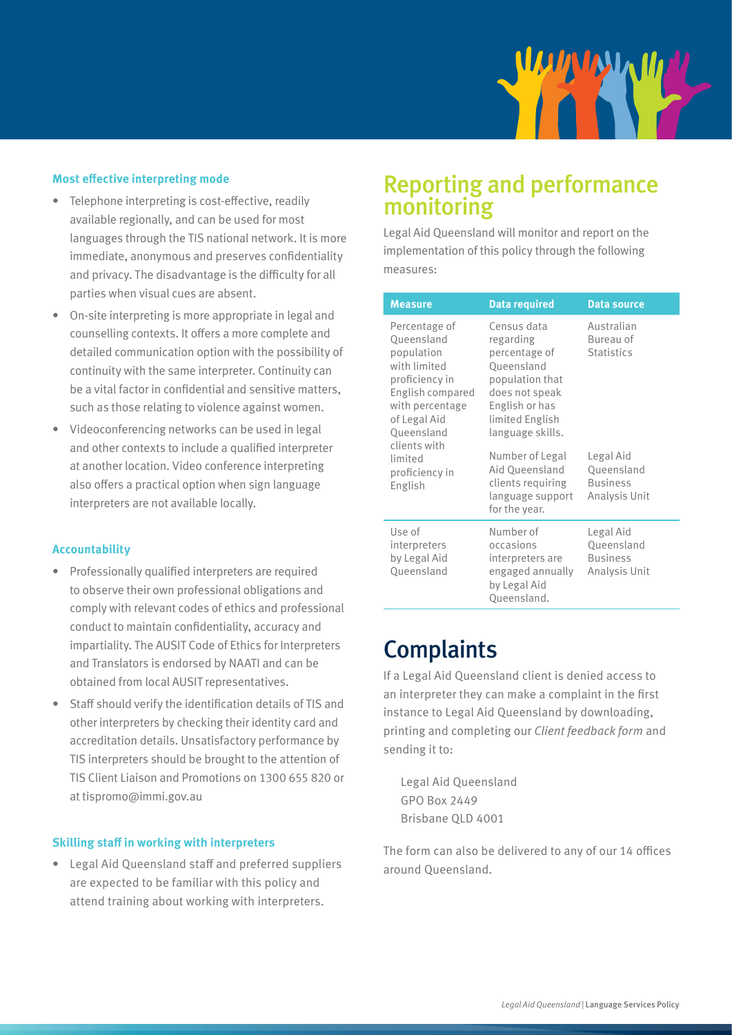

#### **Most effective interpreting mode**

- Telephone interpreting is cost-effective, readily available regionally, and can be used for most languages through the TIS national network. It is more immediate, anonymous and preserves confidentiality and privacy. The disadvantage is the difficulty for all parties when visual cues are absent.
- On-site interpreting is more appropriate in legal and counselling contexts. It offers a more complete and detailed communication option with the possibility of continuity with the same interpreter. Continuity can be a vital factor in confidential and sensitive matters, such as those relating to violence against women.
- Videoconferencing networks can be used in legal and other contexts to include a qualified interpreter at another location. Video conference interpreting also offers a practical option when sign language interpreters are not available locally.

#### **Accountability**

- Professionally qualified interpreters are required to observe their own professional obligations and comply with relevant codes of ethics and professional conduct to maintain confidentiality, accuracy and impartiality. The AUSIT Code of Ethics for Interpreters and Translators is endorsed by NAATI and can be obtained from local AUSIT representatives.
- Staff should verify the identification details of TIS and other interpreters by checking their identity card and accreditation details. Unsatisfactory performance by TIS interpreters should be brought to the attention of TIS Client Liaison and Promotions on 1300 655 820 or at tispromo@immi.gov.au

#### **Skilling staff in working with interpreters**

• Legal Aid Queensland staff and preferred suppliers are expected to be familiar with this policy and attend training about working with interpreters.

### Reporting and performance monitoring

Legal Aid Queensland will monitor and report on the implementation of this policy through the following measures:

| <b>Measure</b>                                                                                                                                                                                           | <b>Data required</b>                                                                                                                                  | <b>Data source</b>                                          |
|----------------------------------------------------------------------------------------------------------------------------------------------------------------------------------------------------------|-------------------------------------------------------------------------------------------------------------------------------------------------------|-------------------------------------------------------------|
| Percentage of<br>Queensland<br>population<br>with limited<br>proficiency in<br>English compared<br>with percentage<br>of Legal Aid<br>Queensland<br>clients with<br>limited<br>proficiency in<br>English | Census data<br>regarding<br>percentage of<br>Queensland<br>population that<br>does not speak<br>English or has<br>limited English<br>language skills. | Australian<br>Bureau of<br><b>Statistics</b>                |
|                                                                                                                                                                                                          | Number of Legal<br>Aid Queensland<br>clients requiring<br>language support<br>for the year.                                                           | Legal Aid<br>Queensland<br><b>Business</b><br>Analysis Unit |
| Use of<br>interpreters<br>by Legal Aid<br>Queensland                                                                                                                                                     | Number of<br>occasions<br>interpreters are<br>engaged annually<br>by Legal Aid<br>Queensland.                                                         | Legal Aid<br>Queensland<br><b>Business</b><br>Analysis Unit |

### **Complaints**

If a Legal Aid Queensland client is denied access to an interpreter they can make a complaint in the first instance to Legal Aid Queensland by downloading, printing and completing our *Client feedback form* and sending it to:

Legal Aid Queensland GPO Box 2449 Brisbane QLD 4001

The form can also be delivered to any of our 14 offices around Queensland.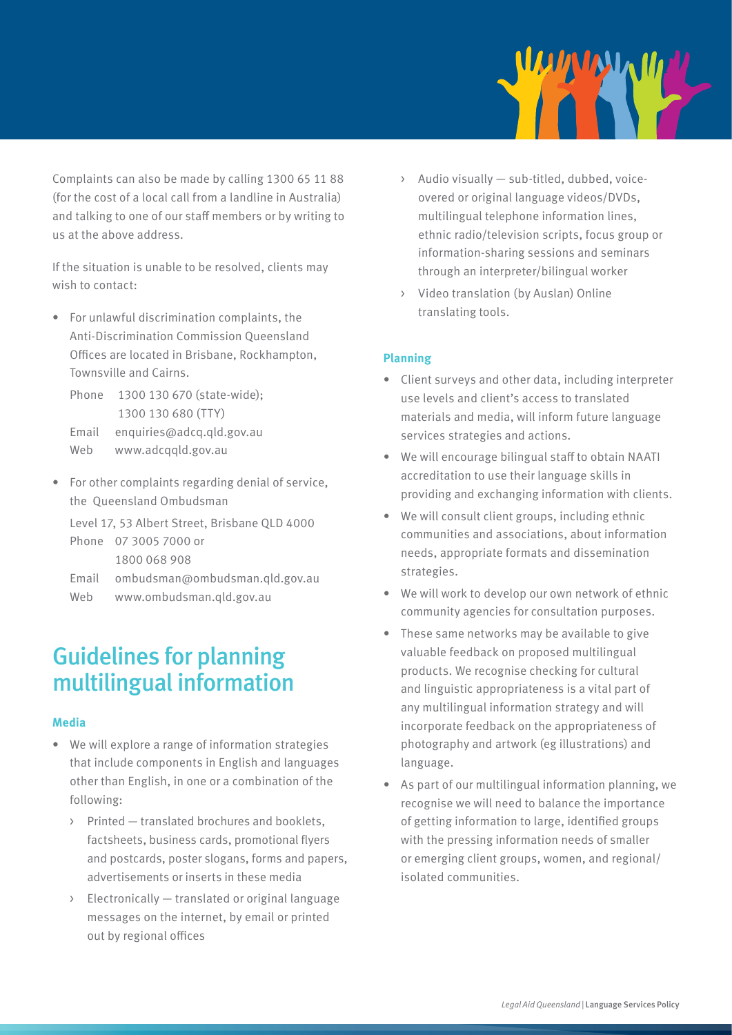

Complaints can also be made by calling 1300 65 11 88 (for the cost of a local call from a landline in Australia) and talking to one of our staff members or by writing to us at the above address.

If the situation is unable to be resolved, clients may wish to contact:

- For unlawful discrimination complaints, the Anti-Discrimination Commission Queensland Offices are located in Brisbane, Rockhampton, Townsville and Cairns.
	- Phone 1300 130 670 (state-wide); 1300 130 680 (TTY) Email enquiries@adcq.qld.gov.au Web www.adcqqld.gov.au
- For other complaints regarding denial of service, the Queensland Ombudsman

Level 17, 53 Albert Street, Brisbane QLD 4000 Phone 07 3005 7000 or 1800 068 908 Email ombudsman@ombudsman.qld.gov.au

Web www.ombudsman.qld.gov.au

### Guidelines for planning multilingual information

#### **Media**

- We will explore a range of information strategies that include components in English and languages other than English, in one or a combination of the following:
	- > Printed translated brochures and booklets, factsheets, business cards, promotional flyers and postcards, poster slogans, forms and papers, advertisements or inserts in these media
	- > Electronically translated or original language messages on the internet, by email or printed out by regional offices
- > Audio visually sub-titled, dubbed, voiceovered or original language videos/DVDs, multilingual telephone information lines, ethnic radio/television scripts, focus group or information-sharing sessions and seminars through an interpreter/bilingual worker
- > Video translation (by Auslan) Online translating tools.

#### **Planning**

- Client surveys and other data, including interpreter use levels and client's access to translated materials and media, will inform future language services strategies and actions.
- We will encourage bilingual staff to obtain NAATI accreditation to use their language skills in providing and exchanging information with clients.
- We will consult client groups, including ethnic communities and associations, about information needs, appropriate formats and dissemination strategies.
- We will work to develop our own network of ethnic community agencies for consultation purposes.
- These same networks may be available to give valuable feedback on proposed multilingual products. We recognise checking for cultural and linguistic appropriateness is a vital part of any multilingual information strategy and will incorporate feedback on the appropriateness of photography and artwork (eg illustrations) and language.
- As part of our multilingual information planning, we recognise we will need to balance the importance of getting information to large, identified groups with the pressing information needs of smaller or emerging client groups, women, and regional/ isolated communities.